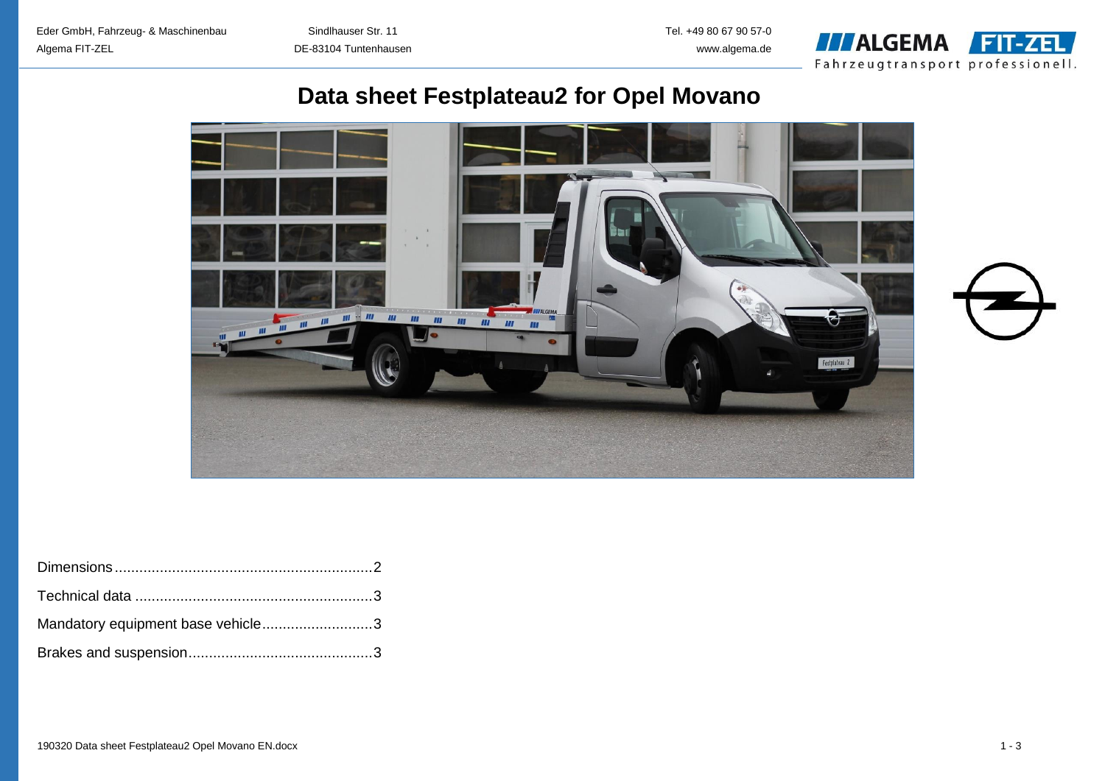

# **Data sheet Festplateau2 for Opel Movano**



| Mandatory equipment base vehicle3 |  |
|-----------------------------------|--|
|                                   |  |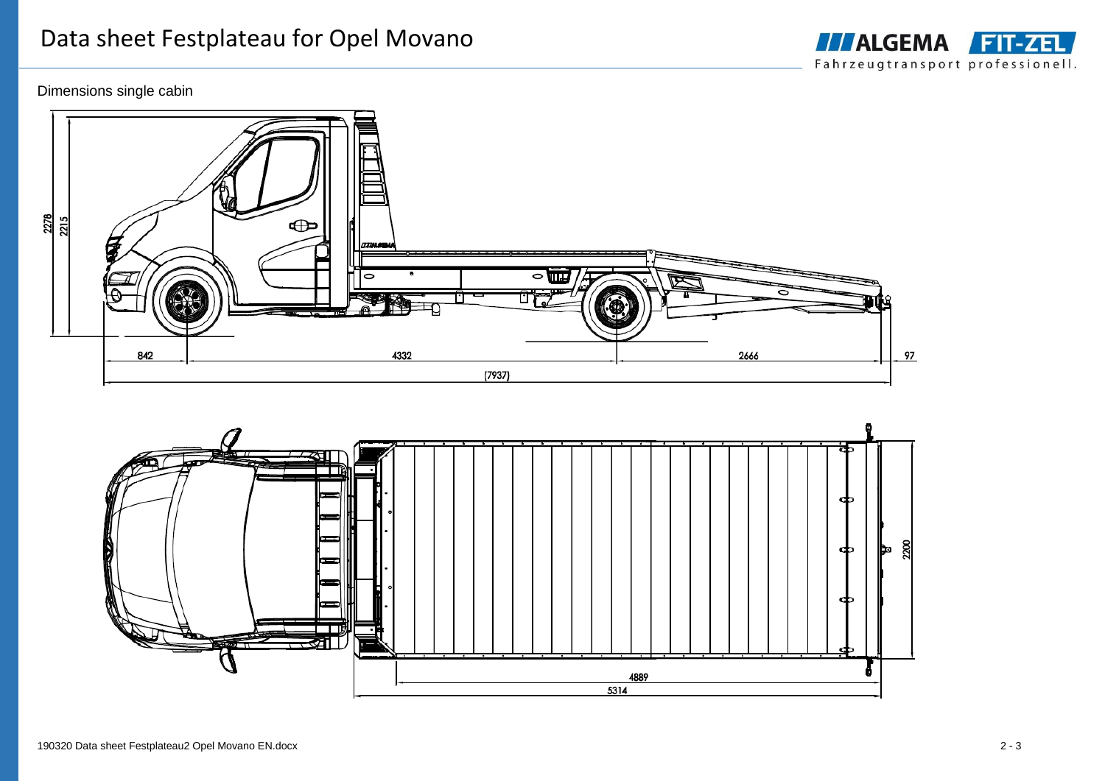# Dimensions single cabin